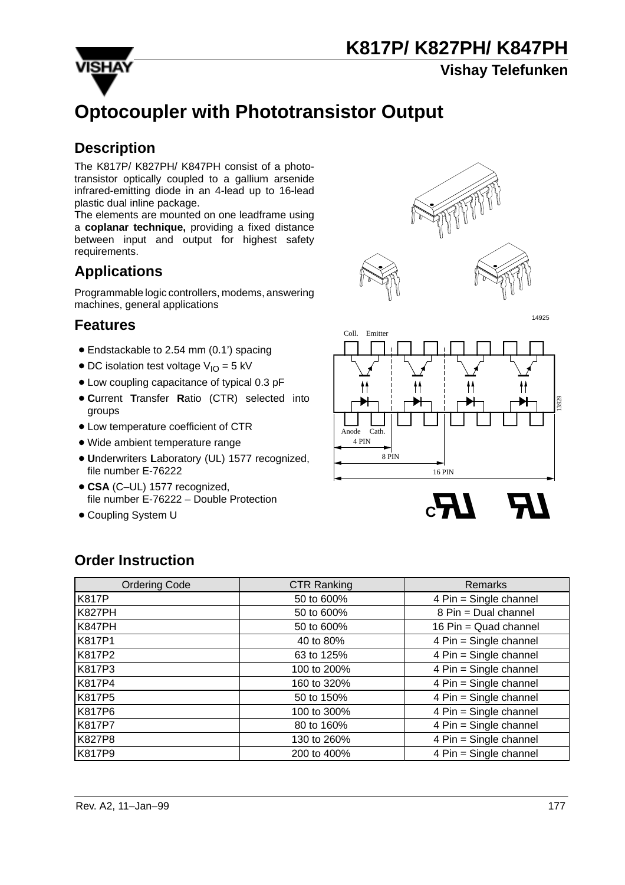

**Vishay Telefunken**

# **Optocoupler with Phototransistor Output**

### **Description**

The K817P/ K827PH/ K847PH consist of a phototransistor optically coupled to a gallium arsenide infrared-emitting diode in an 4-lead up to 16-lead plastic dual inline package.

The elements are mounted on one leadframe using a **coplanar technique,** providing a fixed distance between input and output for highest safety requirements.

### **Applications**

Programmable logic controllers, modems, answering machines, general applications

### **Features**

- Endstackable to 2.54 mm (0.1') spacing
- $\bullet$  DC isolation test voltage  $V_{IO} = 5$  kV
- Low coupling capacitance of typical 0.3 pF
- **C**urrent **T**ransfer **R**atio (CTR) selected into groups
- Low temperature coefficient of CTR
- Wide ambient temperature range
- **U**nderwriters **L**aboratory (UL) 1577 recognized, file number E-76222
- **CSA** (C–UL) 1577 recognized, file number E-76222 – Double Protection
- Coupling System U







**C**

### **Order Instruction**

| <b>Ordering Code</b> | <b>CTR Ranking</b> | Remarks                |
|----------------------|--------------------|------------------------|
| <b>K817P</b>         | 50 to 600%         | 4 Pin = Single channel |
| <b>K827PH</b>        | 50 to 600%         | 8 Pin = Dual channel   |
| <b>K847PH</b>        | 50 to 600%         | 16 Pin = Quad channel  |
| K817P1               | 40 to 80%          | 4 Pin = Single channel |
| K817P2               | 63 to 125%         | 4 Pin = Single channel |
| K817P3               | 100 to 200%        | 4 Pin = Single channel |
| K817P4               | 160 to 320%        | 4 Pin = Single channel |
| K817P5               | 50 to 150%         | 4 Pin = Single channel |
| K817P6               | 100 to 300%        | 4 Pin = Single channel |
| K817P7               | 80 to 160%         | 4 Pin = Single channel |
| K827P8               | 130 to 260%        | 4 Pin = Single channel |
| K817P9               | 200 to 400%        | 4 Pin = Single channel |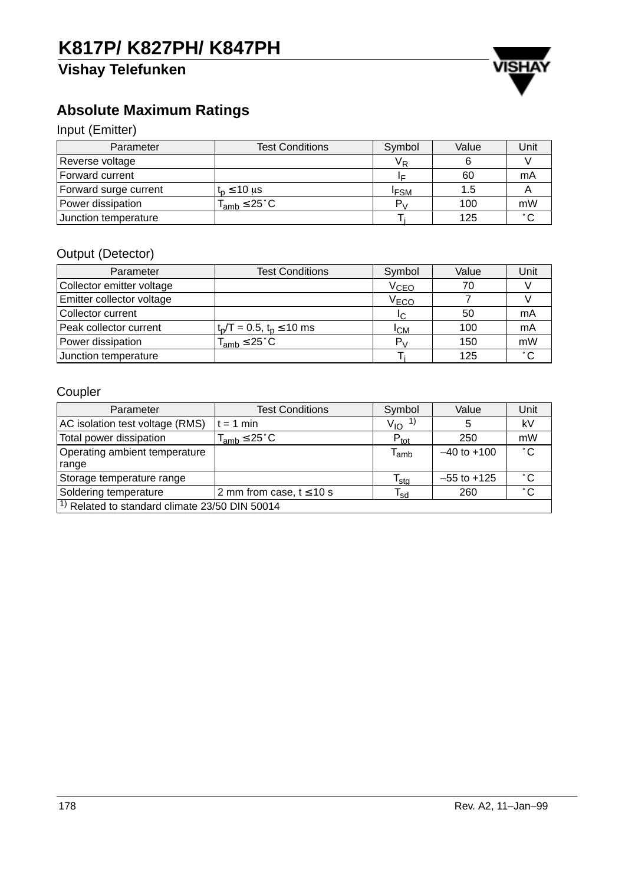## **Vishay Telefunken**



## **Absolute Maximum Ratings**

### Input (Emitter)

| Parameter             | <b>Test Conditions</b>      | Symbol                  | Value | Unit   |
|-----------------------|-----------------------------|-------------------------|-------|--------|
| Reverse voltage       |                             | $\mathsf{V}_\mathsf{R}$ |       |        |
| Forward current       |                             |                         | 60    | mA     |
| Forward surge current | $t_n \leq 10 \mu s$         | <sup>I</sup> FSM        | 1.5   |        |
| Power dissipation     | $T_{amb} \leq 25^{\circ}$ C | P.,                     | 100   | mW     |
| Junction temperature  |                             |                         | 125   | $\sim$ |

### Output (Detector)

| Parameter                 | <b>Test Conditions</b>          | Symbol           | Value | Unit         |
|---------------------------|---------------------------------|------------------|-------|--------------|
| Collector emitter voltage |                                 | V <sub>CEO</sub> | 70    |              |
| Emitter collector voltage |                                 | V <sub>ECO</sub> |       |              |
| Collector current         |                                 | IC.              | 50    | mA           |
| Peak collector current    | $t_p/T = 0.5$ , $t_p \le 10$ ms | <sup>I</sup> CM  | 100   | mA           |
| Power dissipation         | $T_{amb} \leq 25^{\circ}$ C     | $P_{V}$          | 150   | mW           |
| Junction temperature      |                                 |                  | 125   | $^{\circ}$ C |

### Coupler

| Parameter                                                 | <b>Test Conditions</b>       | Symbol                      | Value           | Unit         |  |
|-----------------------------------------------------------|------------------------------|-----------------------------|-----------------|--------------|--|
| AC isolation test voltage (RMS)                           | $= 1$ min                    | $V_{IO}$ <sup>1)</sup>      | 5               | kV           |  |
| Total power dissipation                                   | $T_{amb} \leq 25^{\circ}$ C  | $P_{\text{tot}}$            | 250             | mW           |  |
| Operating ambient temperature                             |                              | $\mathsf{T}_{\mathsf{amb}}$ | $-40$ to $+100$ | $^{\circ}$ C |  |
| range                                                     |                              |                             |                 |              |  |
| Storage temperature range                                 |                              | $\mathsf{T}_{\mathsf{stg}}$ | $-55$ to $+125$ | $^{\circ}$ C |  |
| Soldering temperature                                     | 2 mm from case, $t \le 10$ s | $\mathsf{T_{sd}}$           | 260             | $^{\circ}$ C |  |
| <sup>1)</sup> Related to standard climate 23/50 DIN 50014 |                              |                             |                 |              |  |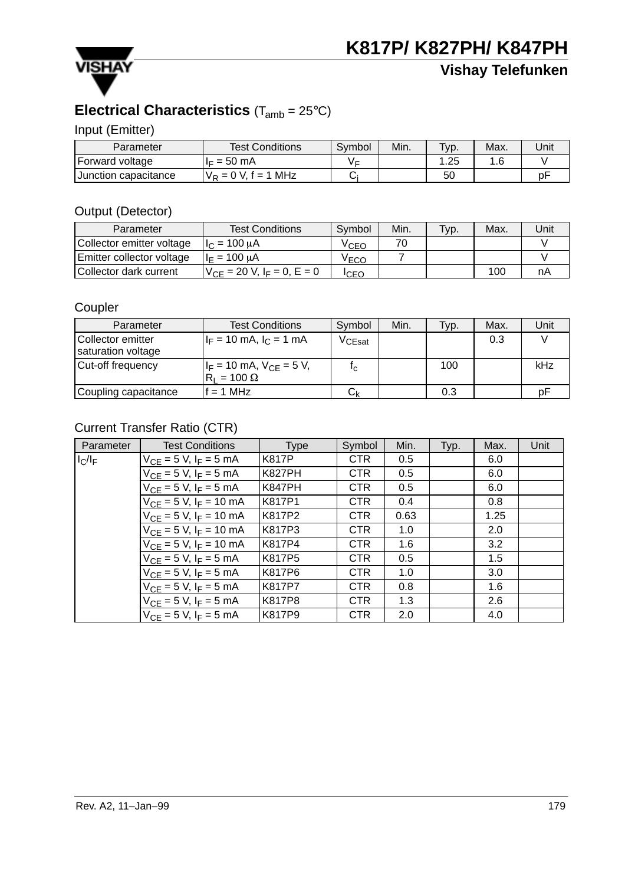

## **Vishay Telefunken**

### **Electrical Characteristics** (Tamb = 25°C)

Input (Emitter)

| Parameter            | <b>Test Conditions</b> | Symbol | Min. | $TVP$ . | Max. | Unit |
|----------------------|------------------------|--------|------|---------|------|------|
| Forward voltage      | $I_F = 50$ mA          |        |      | .25     | 1 ፎ  |      |
| Junction capacitance | $V_R = 0$ V, f = 1 MHz |        |      | 50      |      | n    |

#### Output (Detector)

| Parameter                        | <b>Test Conditions</b>            | Symbol | Min. | Typ. | Max. | Unit |
|----------------------------------|-----------------------------------|--------|------|------|------|------|
| Collector emitter voltage        | $1c = 100 \mu A$                  | VCEO   |      |      |      |      |
| <b>Emitter collector voltage</b> | H <sub>E</sub> = 100 uA           |        |      |      |      |      |
| Collector dark current           | $V_{CF}$ = 20 V, $I_F$ = 0, E = 0 | ICEC   |      |      | 100  | nA   |

#### Coupler

| Parameter                               | <b>Test Conditions</b>                               | Symbol           | Min. | Typ. | Max. | Unit |
|-----------------------------------------|------------------------------------------------------|------------------|------|------|------|------|
| Collector emitter<br>saturation voltage | $I_F = 10$ mA, $I_C = 1$ mA                          | $\rm V_{CEsat}$  |      |      | 0.3  |      |
| Cut-off frequency                       | $I_F = 10$ mA, $V_{CE} = 5$ V,<br>$R_1 = 100 \Omega$ | Ιc               |      | 100  |      | kHz  |
| Coupling capacitance                    | $= 1 MHz$                                            | $\mathtt{C_{k}}$ |      | 0.3  |      | рF   |

### Current Transfer Ratio (CTR)

| Parameter | <b>Test Conditions</b>         | Type          | Symbol     | Min. | Typ. | Max. | Unit |
|-----------|--------------------------------|---------------|------------|------|------|------|------|
| $I_C/I_F$ | $V_{CF} = 5 V, I_F = 5 mA$     | <b>K817P</b>  | <b>CTR</b> | 0.5  |      | 6.0  |      |
|           | $V_{CF} = 5 V, I_F = 5 mA$     | <b>K827PH</b> | <b>CTR</b> | 0.5  |      | 6.0  |      |
|           | $V_{CF} = 5 V, I_F = 5 mA$     | <b>K847PH</b> | <b>CTR</b> | 0.5  |      | 6.0  |      |
|           | $V_{CF} = 5 V, I_F = 10 mA$    | K817P1        | <b>CTR</b> | 0.4  |      | 0.8  |      |
|           | $V_{CE} = 5 V$ , $I_F = 10 mA$ | K817P2        | <b>CTR</b> | 0.63 |      | 1.25 |      |
|           | $V_{CF} = 5 V$ , $I_F = 10$ mA | K817P3        | <b>CTR</b> | 1.0  |      | 2.0  |      |
|           | $V_{CF} = 5 V$ , $I_F = 10$ mA | K817P4        | <b>CTR</b> | 1.6  |      | 3.2  |      |
|           | $V_{CF} = 5 V, I_F = 5 mA$     | K817P5        | <b>CTR</b> | 0.5  |      | 1.5  |      |
|           | $V_{CF} = 5 V, I_F = 5 mA$     | K817P6        | <b>CTR</b> | 1.0  |      | 3.0  |      |
|           | $V_{CF} = 5 V, I_F = 5 mA$     | K817P7        | <b>CTR</b> | 0.8  |      | 1.6  |      |
|           | $V_{CF} = 5 V, I_F = 5 mA$     | K817P8        | <b>CTR</b> | 1.3  |      | 2.6  |      |
|           | $V_{CF} = 5 V, I_F = 5 mA$     | K817P9        | <b>CTR</b> | 2.0  |      | 4.0  |      |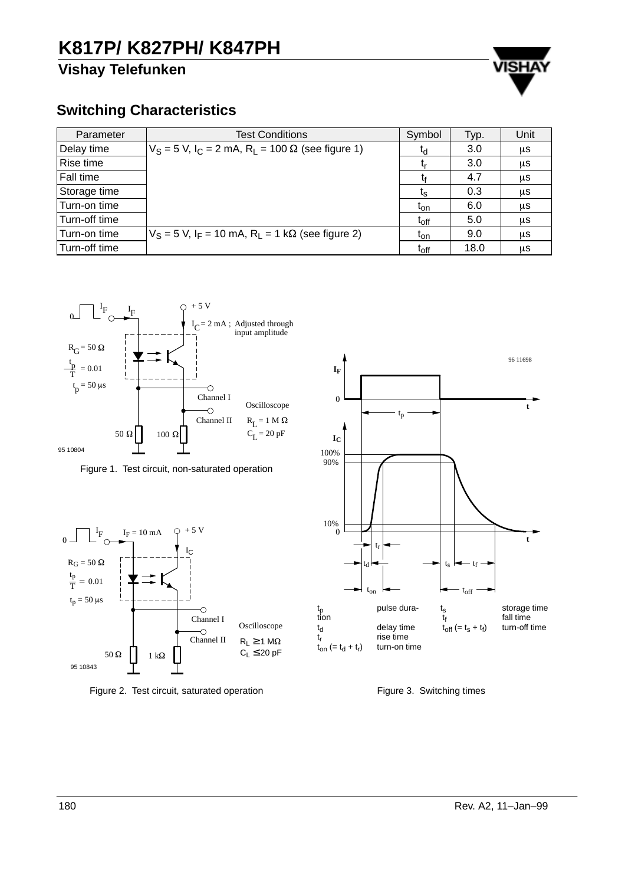### **Vishay Telefunken**



#### **Switching Characteristics**

| Parameter     | Test Conditions                                                                   | Symbol                      | Typ. | Unit |
|---------------|-----------------------------------------------------------------------------------|-----------------------------|------|------|
| Delay time    | $V_S$ = 5 V, I <sub>C</sub> = 2 mA, R <sub>I</sub> = 100 $\Omega$ (see figure 1)  | ιd                          | 3.0  | μS   |
| Rise time     |                                                                                   |                             | 3.0  | μS   |
| Fall time     |                                                                                   |                             | 4.7  | μS   |
| Storage time  |                                                                                   | $t_{\rm S}$                 | 0.3  | μS   |
| Turn-on time  |                                                                                   | lon                         | 6.0  | μS   |
| Turn-off time |                                                                                   | $\mathfrak{t}_{\text{off}}$ | 5.0  | μS   |
| Turn-on time  | $V_S$ = 5 V, I <sub>F</sub> = 10 mA, R <sub>I</sub> = 1 k $\Omega$ (see figure 2) | <b>L</b> on                 | 9.0  | μS   |
| Turn-off time |                                                                                   | $\mathrm{t_{off}}$          | 18.0 | μS   |



Figure 1. Test circuit, non-saturated operation



Figure 2. Test circuit, saturated operation



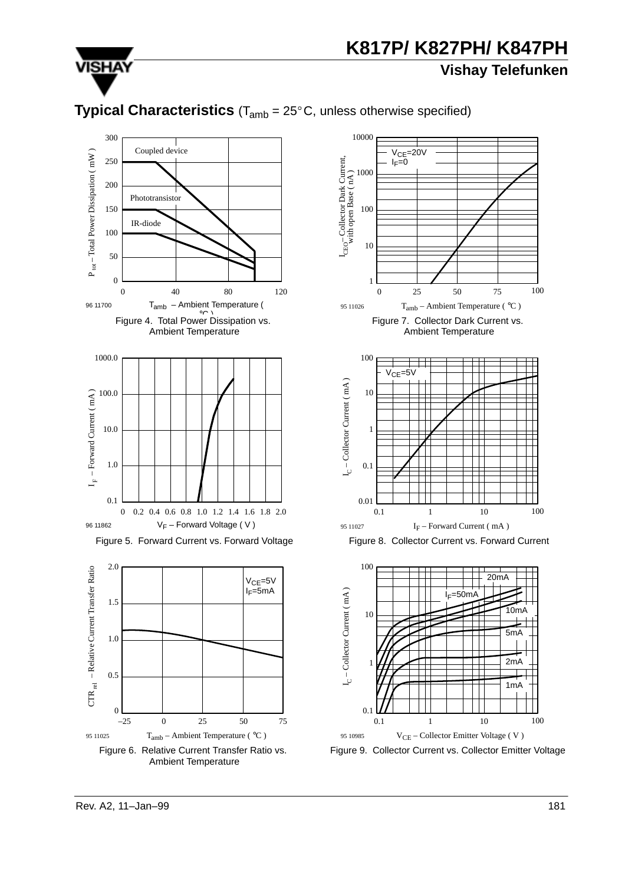

**Vishay Telefunken**

### **Typical Characteristics** (T<sub>amb</sub> = 25°C, unless otherwise specified)





0.1 1 10

V<sub>CE</sub> – Collector Emitter Voltage (V)

Figure 9. Collector Current vs. Collector Emitter Voltage

0.1

95 10985

 $\theta$ 

0.5

 $-25$  0 25 50

Figure 6. Relative Current Transfer Ratio vs.

75

95 11025 T<sub>amb</sub> – Ambient Temperature ( $°C$ )

100

1mA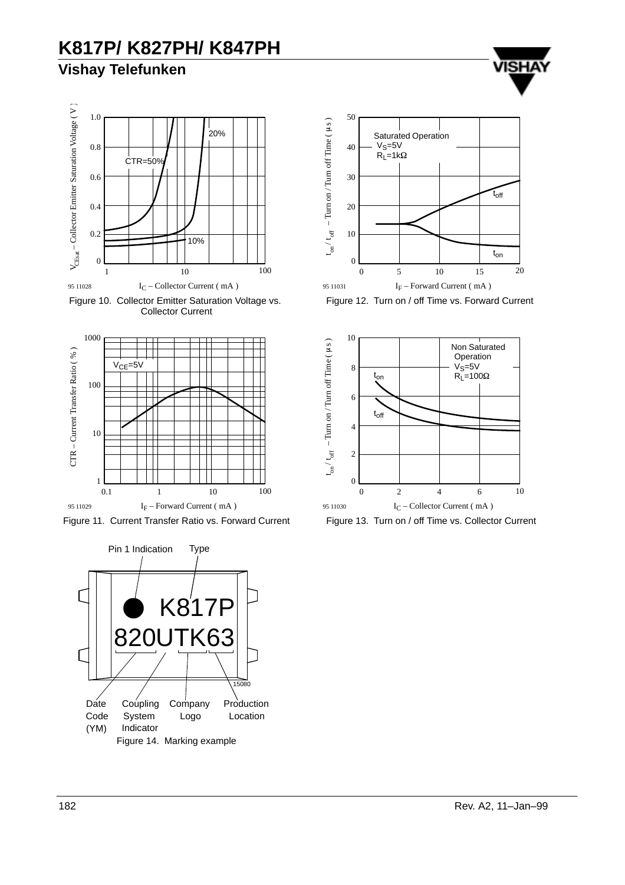### **Vishay Telefunken**



Figure 10. Collector Emitter Saturation Voltage vs. Collector Current









VISH

Figure 12. Turn on / off Time vs. Forward Current



Figure 13. Turn on / off Time vs. Collector Current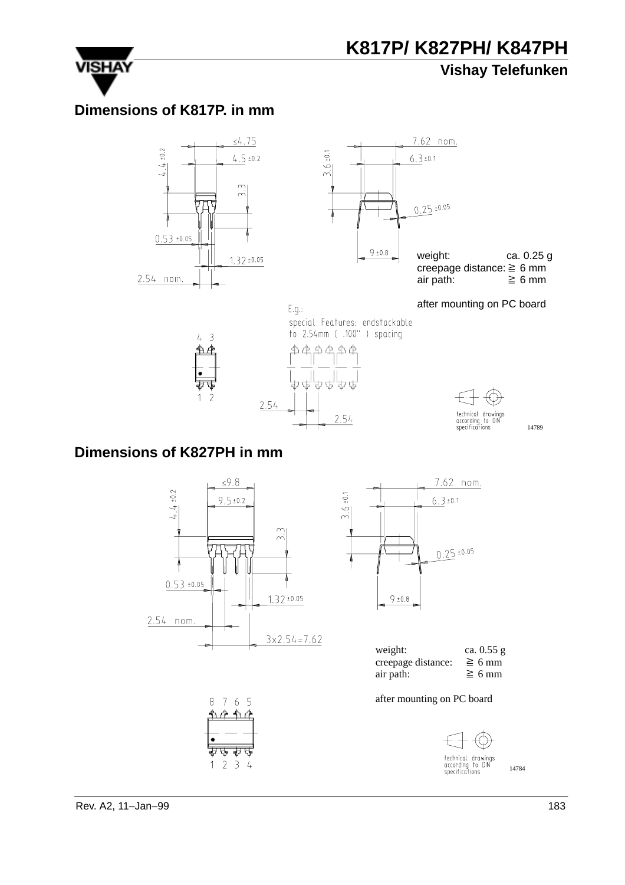### **Vishay Telefunken**



**VISHA** 

### **Dimensions of K817P. in mm**



 $\overline{3}$ L.



weight: ca. 0.25 g creepage distance:  $\geq 6$  mm air path:  $\geq 6$  mm

after mounting on PC board

#### E.g.: special Features: endstackable to 2.54mm ( .100" ) spacing ቋቋቋቋቋ





14789

### **Dimensions of K827PH in mm**



3



| weight:            | ca. 0.55 g  |
|--------------------|-------------|
| creepage distance: | $\geq$ 6 mm |
| air path:          | $\geq 6$ mm |

after mounting on PC board



technical drawings<br>according to DIN<br>specifications 14784

Rev. A2, 11–Jan–99 183